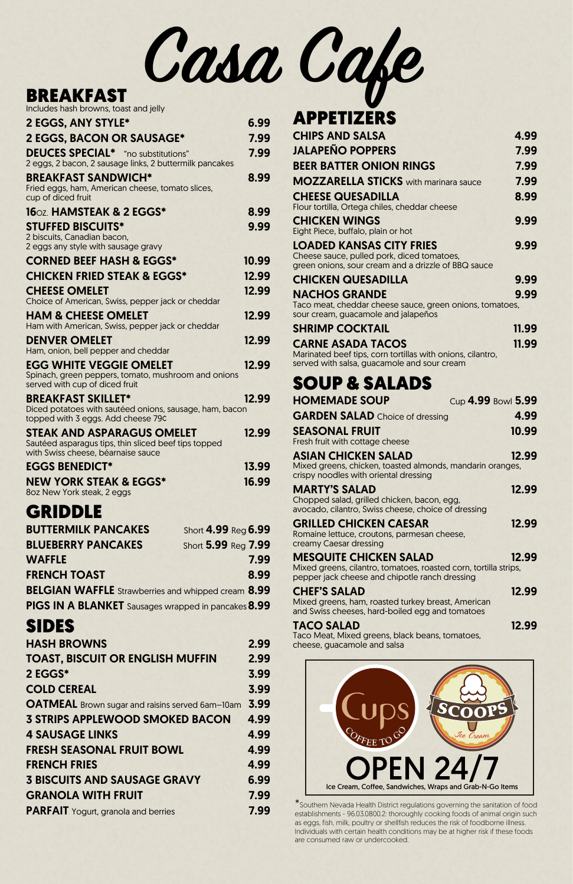### BREAKFAST

hash browns, toast and jelly

| includes nusii Diovviis, toust driu jelly                                                                                  |       |
|----------------------------------------------------------------------------------------------------------------------------|-------|
| <b>2 EGGS, ANY STYLE*</b>                                                                                                  | 6.99  |
| <b>2 EGGS, BACON OR SAUSAGE*</b>                                                                                           | 7.99  |
| <b>DEUCES SPECIAL*</b> "no substitutions"<br>2 eggs, 2 bacon, 2 sausage links, 2 buttermilk pancakes                       | 7.99  |
| <b>BREAKFAST SANDWICH*</b><br>Fried eggs, ham, American cheese, tomato slices,<br>cup of diced fruit                       | 8.99  |
| 160Z. HAMSTEAK & 2 EGGS*                                                                                                   | 8.99  |
| <b>STUFFED BISCUITS*</b>                                                                                                   | 9.99  |
| 2 biscuits, Canadian bacon,<br>2 eggs any style with sausage gravy                                                         |       |
| <b>CORNED BEEF HASH &amp; EGGS*</b>                                                                                        | 10.99 |
| <b>CHICKEN FRIED STEAK &amp; EGGS*</b>                                                                                     | 12.99 |
| <b>CHEESE OMELET</b><br>Choice of American, Swiss, pepper jack or cheddar                                                  | 12.99 |
| <b>HAM &amp; CHEESE OMELET</b><br>Ham with American, Swiss, pepper jack or cheddar                                         | 12.99 |
| <b>DENVER OMELET</b><br>Ham, onion, bell pepper and cheddar                                                                | 12.99 |
| EGG WHITE VEGGIE OMELET<br>Spinach, green peppers, tomato, mushroom and onions<br>served with cup of diced fruit           | 12.99 |
| <b>BREAKFAST SKILLET*</b><br>Diced potatoes with sautéed onions, sausage, ham, bacon<br>topped with 3 eggs. Add cheese 79¢ | 12.99 |
| STEAK AND ASPARAGUS OMELET<br>Sautéed asparagus tips, thin sliced beef tips topped<br>with Swiss cheese, béarnaise sauce   | 12.99 |
| <b>EGGS BENEDICT*</b>                                                                                                      | 13.99 |
| <b>NEW YORK STEAK &amp; EGGS*</b><br>8oz New York steak, 2 eggs                                                            | 16.99 |
| <b>GRIDDLE</b>                                                                                                             |       |
| <b>BUTTERMILK PANCAKES</b><br>Short 4.99 Reg 6.99                                                                          |       |
| <b>BLUEBERRY PANCAKES</b><br>Short 5.99 Reg 7.99                                                                           |       |
| <b>WAFFLE</b>                                                                                                              | 7.99  |
| <b>FRENCH TOAST</b>                                                                                                        | 8.99  |
| <b>BELGIAN WAFFLE</b> Strawberries and whipped cream 8.99                                                                  |       |
| PIGS IN A BLANKET Sausages wrapped in pancakes 8.99                                                                        |       |

#### SIDES HASH BROWNS 2.99

| <b>TOAST, BISCUIT OR ENGLISH MUFFIN</b>                | 2.99 |
|--------------------------------------------------------|------|
| 2 EGGS*                                                | 3.99 |
| <b>COLD CEREAL</b>                                     | 3.99 |
| <b>OATMEAL</b> Brown sugar and raisins served 6am-10am | 3.99 |
| <b>3 STRIPS APPLEWOOD SMOKED BACON</b>                 | 4.99 |
| <b>4 SAUSAGE LINKS</b>                                 | 4.99 |
| <b>FRESH SEASONAL FRUIT BOWL</b>                       | 4.99 |
| <b>FRENCH FRIES</b>                                    | 4.99 |
| <b>3 BISCUITS AND SAUSAGE GRAVY</b>                    | 6.99 |
| <b>GRANOLA WITH FRUIT</b>                              | 7.99 |
| <b>PARFAIT</b> Yogurt, granola and berries             | 7.99 |
|                                                        |      |

Taco Meat, Mixed greens, black beans, tomatoes, cheese, guacamole and salsa

\*Southern Nevada Health District regulations governing the sanitation of food establishments - 96.03.0800.2: thoroughly cooking foods of animal origin such as eggs, fish, milk, poultry or shellfish reduces the risk of foodborne illness. Individuals with certain health conditions may be at higher risk if these foods are consumed raw or undercooked.

# APPETIZERS

| <b>CHIPS AND SALSA</b>                                                                                                               | 4.99  |
|--------------------------------------------------------------------------------------------------------------------------------------|-------|
| <b>JALAPEÑO POPPERS</b>                                                                                                              | 7.99  |
| <b>BEER BATTER ONION RINGS</b>                                                                                                       | 7.99  |
| <b>MOZZARELLA STICKS</b> with marinara sauce                                                                                         | 7.99  |
| <b>CHEESE QUESADILLA</b><br>Flour tortilla, Ortega chiles, cheddar cheese                                                            | 8.99  |
| <b>CHICKEN WINGS</b><br>Eight Piece, buffalo, plain or hot                                                                           | 9.99  |
| <b>LOADED KANSAS CITY FRIES</b><br>Cheese sauce, pulled pork, diced tomatoes,<br>green onions, sour cream and a drizzle of BBQ sauce | 9.99  |
| <b>CHICKEN QUESADILLA</b>                                                                                                            | 9.99  |
| <b>NACHOS GRANDE</b><br>Taco meat, cheddar cheese sauce, green onions, tomatoes,<br>sour cream, guacamole and jalapeños              | 9.99  |
| <b>SHRIMP COCKTAIL</b>                                                                                                               | 11.99 |
| <b>CARNE ASADA TACOS</b>                                                                                                             | 11.99 |

Marinated beef tips, corn tortillas with onions, cilantro, served with salsa, guacamole and sour cream

### SOUP & SALADS

| <b>HOMEMADE SOUP</b>                                                                                                                                | Cup 4.99 Bowl 5.99 |
|-----------------------------------------------------------------------------------------------------------------------------------------------------|--------------------|
| <b>GARDEN SALAD</b> Choice of dressing                                                                                                              | 4.99               |
| <b>SEASONAL FRUIT</b><br>Fresh fruit with cottage cheese                                                                                            | 10.99              |
| ASIAN CHICKEN SALAD<br>Mixed greens, chicken, toasted almonds, mandarin oranges,<br>crispy noodles with oriental dressing                           | 12.99              |
| <b>MARTY'S SALAD</b><br>Chopped salad, grilled chicken, bacon, egg,<br>avocado, cilantro, Swiss cheese, choice of dressing                          | 12.99              |
| <b>GRILLED CHICKEN CAESAR</b><br>Romaine lettuce, croutons, parmesan cheese,<br>creamy Caesar dressing                                              | 12.99              |
| <b>MESQUITE CHICKEN SALAD</b><br>Mixed greens, cilantro, tomatoes, roasted corn, tortilla strips,<br>pepper jack cheese and chipotle ranch dressing | 12.99              |
| <b>CHEF'S SALAD</b><br>Mixed greens, ham, roasted turkey breast, American<br>and Swiss cheeses, hard-boiled egg and tomatoes                        | 12.99              |
| TACO SALAD<br>Taco Moat Mixed groops black beans tematess                                                                                           | 12.99              |

**Casa Cafe**